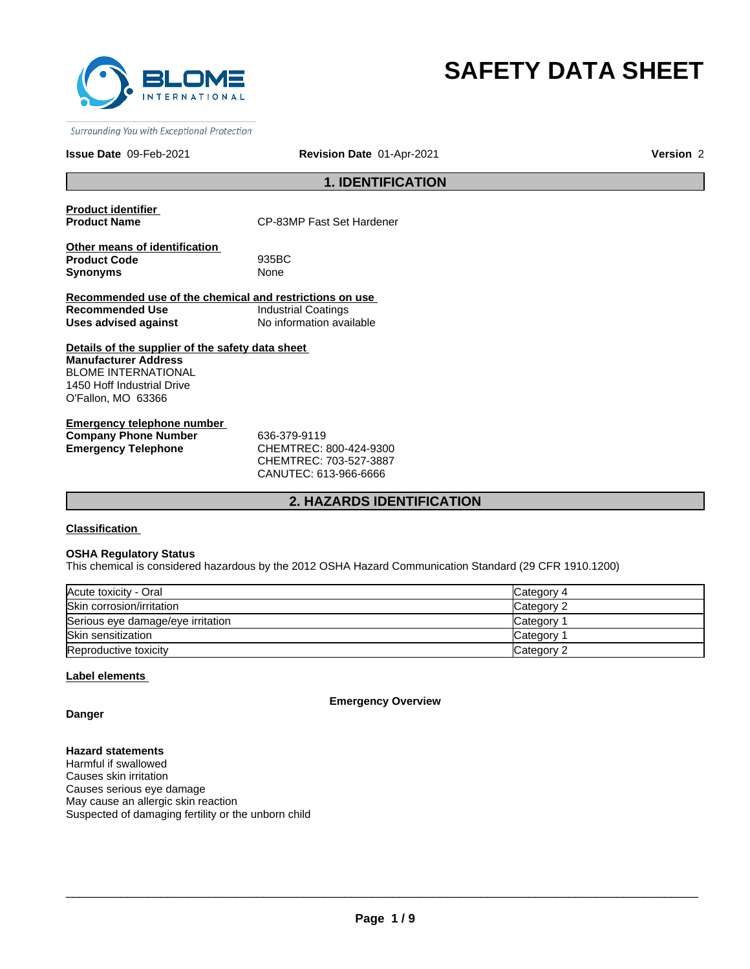

# **SAFETY DATA SHEET**

Surrounding You with Exceptional Protection

#### **Issue Date** 09-Feb-2021 **Revision Date** 01-Apr-2021

**Version** 2

# **1. IDENTIFICATION**

**Product identifier** 

**CP-83MP Fast Set Hardener** 

**Other means of identification Product Code** 935BC **Synonyms** None

**Recommended use of the chemical and restrictions on use Recommended Use Industrial Coatings<br>
Uses advised against Industrial No information ava Uses advised against** No information available

**Details of the supplier of the safety data sheet Manufacturer Address** BLOME INTERNATIONAL 1450 Hoff Industrial Drive O'Fallon, MO 63366

**Emergency telephone number Company Phone Number** 636-379-9119 **Emergency Telephone** CHEMTREC: 800-424-9300

CHEMTREC: 703-527-3887 CANUTEC: 613-966-6666

# **2. HAZARDS IDENTIFICATION**

**Classification** 

#### **OSHA Regulatory Status**

This chemical is considered hazardous by the 2012 OSHA Hazard Communication Standard (29 CFR 1910.1200)

| Acute toxicity - Oral             | Category 4 |
|-----------------------------------|------------|
| Skin corrosion/irritation         | Category 2 |
| Serious eye damage/eye irritation | Category   |
| <b>Skin sensitization</b>         | Category   |
| Reproductive toxicity             | Category 2 |

# **Label elements**

**Emergency Overview**

**Danger**

**Hazard statements** Harmful if swallowed Causes skin irritation Causes serious eye damage May cause an allergic skin reaction Suspected of damaging fertility or the unborn child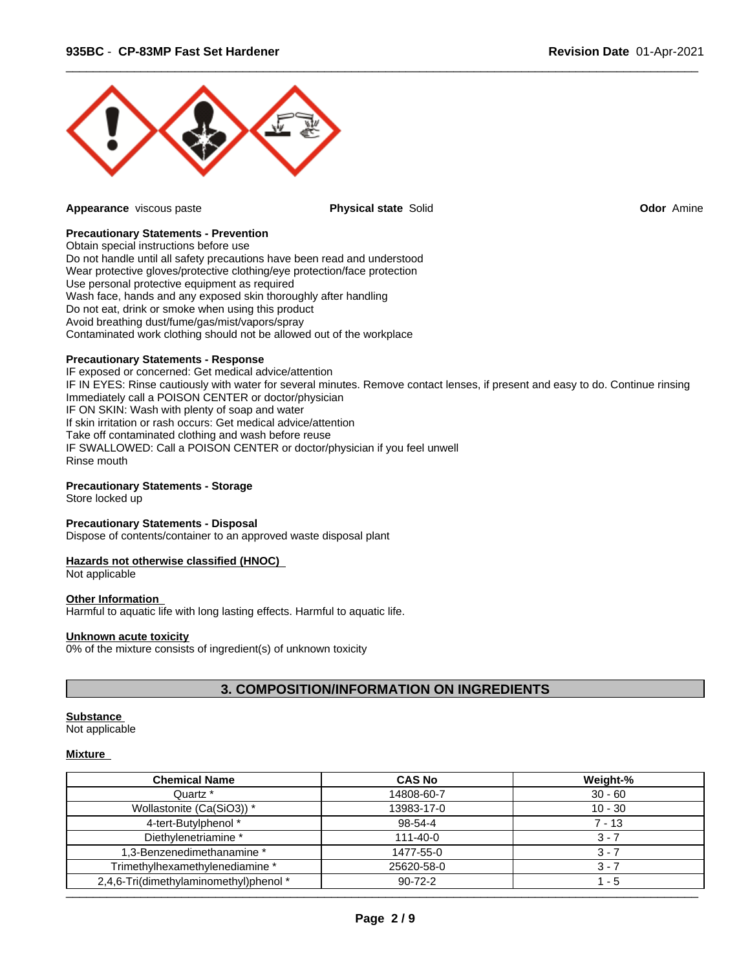

**Appearance** viscous paste **Physical state** Solid **Odor** Amine

 $\overline{\phantom{a}}$  ,  $\overline{\phantom{a}}$  ,  $\overline{\phantom{a}}$  ,  $\overline{\phantom{a}}$  ,  $\overline{\phantom{a}}$  ,  $\overline{\phantom{a}}$  ,  $\overline{\phantom{a}}$  ,  $\overline{\phantom{a}}$  ,  $\overline{\phantom{a}}$  ,  $\overline{\phantom{a}}$  ,  $\overline{\phantom{a}}$  ,  $\overline{\phantom{a}}$  ,  $\overline{\phantom{a}}$  ,  $\overline{\phantom{a}}$  ,  $\overline{\phantom{a}}$  ,  $\overline{\phantom{a}}$ 

# **Precautionary Statements - Prevention**

Obtain special instructions before use Do not handle until all safety precautions have been read and understood Wear protective gloves/protective clothing/eye protection/face protection Use personal protective equipment as required Wash face, hands and any exposed skin thoroughly after handling Do not eat, drink or smoke when using this product Avoid breathing dust/fume/gas/mist/vapors/spray Contaminated work clothing should not be allowed out of the workplace

# **Precautionary Statements - Response**

IF exposed or concerned: Get medical advice/attention IF IN EYES: Rinse cautiously with water for several minutes. Remove contact lenses, if present and easy to do. Continue rinsing Immediately call a POISON CENTER or doctor/physician IF ON SKIN: Wash with plenty of soap and water If skin irritation or rash occurs: Get medical advice/attention Take off contaminated clothing and wash before reuse IF SWALLOWED: Call a POISON CENTER or doctor/physician if you feel unwell Rinse mouth

# **Precautionary Statements - Storage**

Store locked up

# **Precautionary Statements - Disposal**

Dispose of contents/container to an approved waste disposal plant

# **Hazards not otherwise classified (HNOC)**

Not applicable

# **Other Information**

Harmful to aquatic life with long lasting effects. Harmful to aquatic life.

# **Unknown acute toxicity**

0% of the mixture consists of ingredient(s) of unknown toxicity

# **3. COMPOSITION/INFORMATION ON INGREDIENTS**

# **Substance**

Not applicable

# **Mixture**

| <b>Chemical Name</b>                   | <b>CAS No</b>  | Weight-%  |
|----------------------------------------|----------------|-----------|
| Quartz *                               | 14808-60-7     | $30 - 60$ |
| Wollastonite (Ca(SiO3)) *              | 13983-17-0     | $10 - 30$ |
| 4-tert-Butylphenol *                   | 98-54-4        | $7 - 13$  |
| Diethylenetriamine *                   | $111 - 40 - 0$ | $3 - 7$   |
| 1,3-Benzenedimethanamine *             | 1477-55-0      | $3 - 7$   |
| Trimethylhexamethylenediamine *        | 25620-58-0     | $3 - 7$   |
| 2,4,6-Tri(dimethylaminomethyl)phenol * | $90 - 72 - 2$  | - 5       |
|                                        |                |           |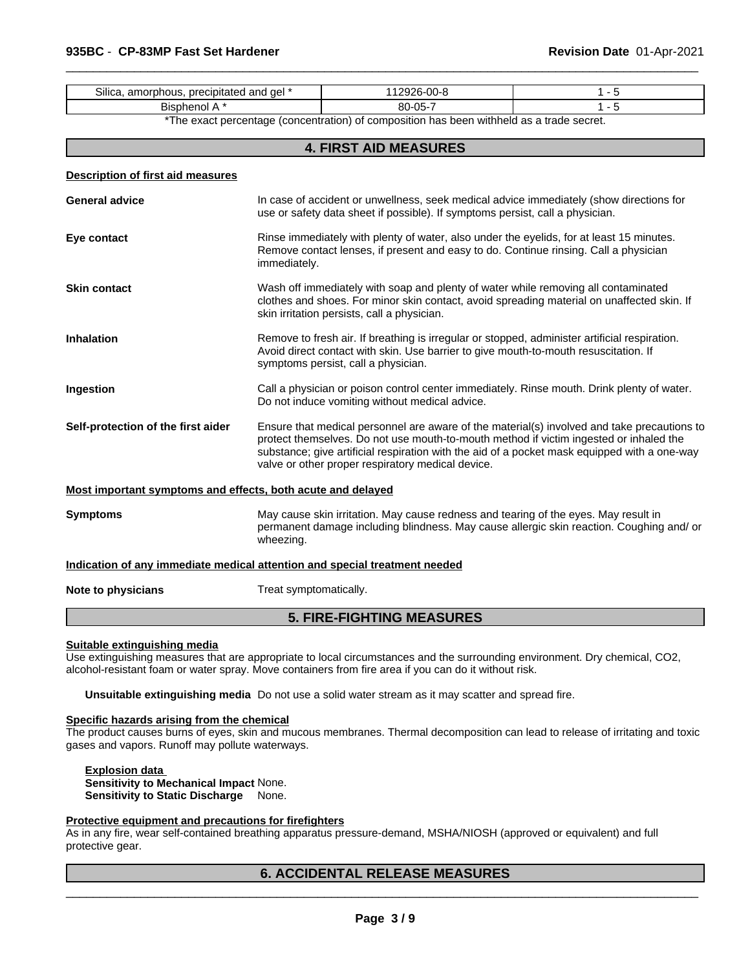| -<br>precipitated and<br>ael<br>amor<br>Silica<br>rbhous. | $\sim$<br>$\mathbf{r}$<br>UU- |  |
|-----------------------------------------------------------|-------------------------------|--|
| $- \cdot$<br>ЫS<br>าดเ<br>הזרי.                           | $80 - 05 -$                   |  |

\*The exact percentage (concentration) of composition has been withheld as a trade secret.

 $\overline{\phantom{a}}$  ,  $\overline{\phantom{a}}$  ,  $\overline{\phantom{a}}$  ,  $\overline{\phantom{a}}$  ,  $\overline{\phantom{a}}$  ,  $\overline{\phantom{a}}$  ,  $\overline{\phantom{a}}$  ,  $\overline{\phantom{a}}$  ,  $\overline{\phantom{a}}$  ,  $\overline{\phantom{a}}$  ,  $\overline{\phantom{a}}$  ,  $\overline{\phantom{a}}$  ,  $\overline{\phantom{a}}$  ,  $\overline{\phantom{a}}$  ,  $\overline{\phantom{a}}$  ,  $\overline{\phantom{a}}$ 

# **4. FIRST AID MEASURES**

| Description of first aid measures                           |                                                                                                                                                                                                                                                                                                                                            |
|-------------------------------------------------------------|--------------------------------------------------------------------------------------------------------------------------------------------------------------------------------------------------------------------------------------------------------------------------------------------------------------------------------------------|
| <b>General advice</b>                                       | In case of accident or unwellness, seek medical advice immediately (show directions for<br>use or safety data sheet if possible). If symptoms persist, call a physician.                                                                                                                                                                   |
| Eye contact                                                 | Rinse immediately with plenty of water, also under the eyelids, for at least 15 minutes.<br>Remove contact lenses, if present and easy to do. Continue rinsing. Call a physician<br>immediately.                                                                                                                                           |
| <b>Skin contact</b>                                         | Wash off immediately with soap and plenty of water while removing all contaminated<br>clothes and shoes. For minor skin contact, avoid spreading material on unaffected skin. If<br>skin irritation persists, call a physician.                                                                                                            |
| <b>Inhalation</b>                                           | Remove to fresh air. If breathing is irregular or stopped, administer artificial respiration.<br>Avoid direct contact with skin. Use barrier to give mouth-to-mouth resuscitation. If<br>symptoms persist, call a physician.                                                                                                               |
| Ingestion                                                   | Call a physician or poison control center immediately. Rinse mouth. Drink plenty of water.<br>Do not induce vomiting without medical advice.                                                                                                                                                                                               |
| Self-protection of the first aider                          | Ensure that medical personnel are aware of the material(s) involved and take precautions to<br>protect themselves. Do not use mouth-to-mouth method if victim ingested or inhaled the<br>substance; give artificial respiration with the aid of a pocket mask equipped with a one-way<br>valve or other proper respiratory medical device. |
| Most important symptoms and effects, both acute and delayed |                                                                                                                                                                                                                                                                                                                                            |
| <b>Symptoms</b>                                             | May cause skin irritation. May cause redness and tearing of the eyes. May result in<br>permanent damage including blindness. May cause allergic skin reaction. Coughing and/or<br>wheezing.                                                                                                                                                |

**Indication of any immediate medical attention and special treatment needed**

**Note to physicians** Treat symptomatically.

# **5. FIRE-FIGHTING MEASURES**

#### **Suitable extinguishing media**

Use extinguishing measures that are appropriate to local circumstances and the surrounding environment. Dry chemical, CO2, alcohol-resistant foam or water spray. Move containers from fire area if you can do it without risk.

**Unsuitable extinguishing media** Do not use a solid water stream as it may scatter and spread fire.

# **Specific hazards arising from the chemical**

The product causes burns of eyes, skin and mucous membranes. Thermal decomposition can lead to release of irritating and toxic gases and vapors. Runoff may pollute waterways.

**Explosion data Sensitivity to Mechanical Impact** None. **Sensitivity to Static Discharge** None.

## **Protective equipment and precautions for firefighters**

As in any fire, wear self-contained breathing apparatus pressure-demand, MSHA/NIOSH (approved or equivalent) and full protective gear.

# **6. ACCIDENTAL RELEASE MEASURES**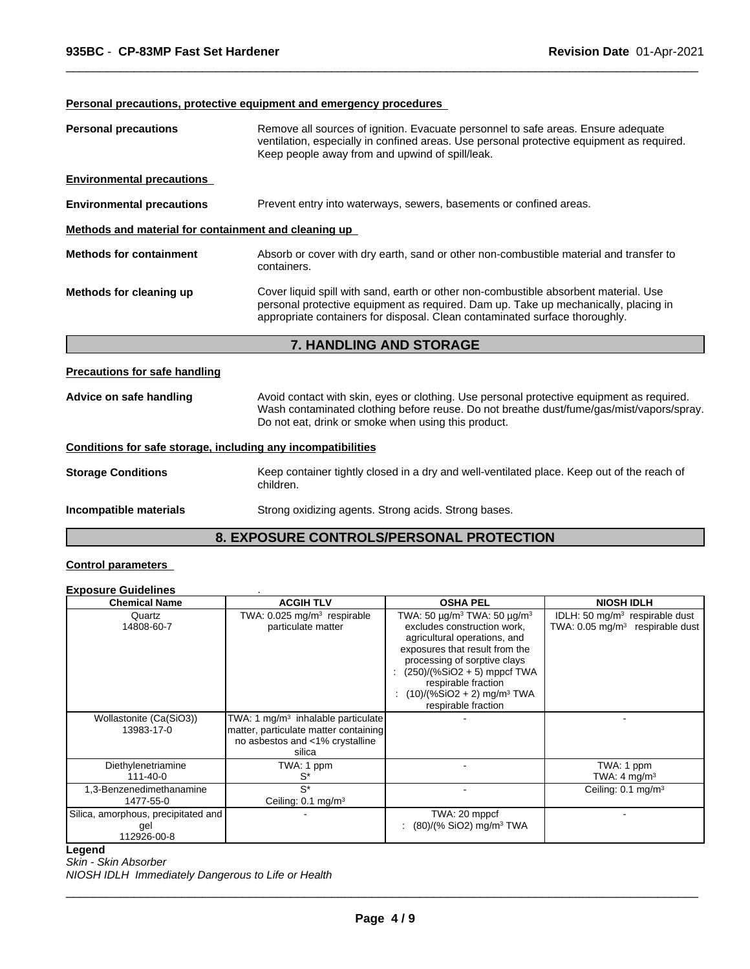# **Personal precautions, protective equipment and emergency procedures**

| <b>Personal precautions</b>                          | Remove all sources of ignition. Evacuate personnel to safe areas. Ensure adequate<br>ventilation, especially in confined areas. Use personal protective equipment as required.<br>Keep people away from and upwind of spill/leak.                          |  |
|------------------------------------------------------|------------------------------------------------------------------------------------------------------------------------------------------------------------------------------------------------------------------------------------------------------------|--|
| <b>Environmental precautions</b>                     |                                                                                                                                                                                                                                                            |  |
| <b>Environmental precautions</b>                     | Prevent entry into waterways, sewers, basements or confined areas.                                                                                                                                                                                         |  |
| Methods and material for containment and cleaning up |                                                                                                                                                                                                                                                            |  |
| <b>Methods for containment</b>                       | Absorb or cover with dry earth, sand or other non-combustible material and transfer to<br>containers.                                                                                                                                                      |  |
| Methods for cleaning up                              | Cover liquid spill with sand, earth or other non-combustible absorbent material. Use<br>personal protective equipment as required. Dam up. Take up mechanically, placing in<br>appropriate containers for disposal. Clean contaminated surface thoroughly. |  |
| <b>7. HANDLING AND STORAGE</b>                       |                                                                                                                                                                                                                                                            |  |
| Precautions for safe handling                        |                                                                                                                                                                                                                                                            |  |
| Advice on safe handling                              | Avoid contact with skin, eyes or clothing. Use personal protective equipment as required.                                                                                                                                                                  |  |

 $\overline{\phantom{a}}$  ,  $\overline{\phantom{a}}$  ,  $\overline{\phantom{a}}$  ,  $\overline{\phantom{a}}$  ,  $\overline{\phantom{a}}$  ,  $\overline{\phantom{a}}$  ,  $\overline{\phantom{a}}$  ,  $\overline{\phantom{a}}$  ,  $\overline{\phantom{a}}$  ,  $\overline{\phantom{a}}$  ,  $\overline{\phantom{a}}$  ,  $\overline{\phantom{a}}$  ,  $\overline{\phantom{a}}$  ,  $\overline{\phantom{a}}$  ,  $\overline{\phantom{a}}$  ,  $\overline{\phantom{a}}$ 

Wash contaminated clothing before reuse. Do not breathe dust/fume/gas/mist/vapors/spray.

### **Conditions for safe storage, including any incompatibilities**

|                           | Keep container tightly closed in a dry and well-ventilated place. Keep out of the reach of |
|---------------------------|--------------------------------------------------------------------------------------------|
| <b>Storage Conditions</b> | children.                                                                                  |
| Incompatible materials    | Strong oxidizing agents. Strong acids. Strong bases.                                       |

Do not eat, drink or smoke when using this product.

# **8. EXPOSURE CONTROLS/PERSONAL PROTECTION**

# **Control parameters**

#### **Exposure Guidelines** .

| <b>Chemical Name</b>                                      | <b>ACGIH TLV</b>                                                                                                                     | <b>OSHA PEL</b>                                                                                                                                                                                                                                                                                                           | <b>NIOSH IDLH</b>                                                                         |
|-----------------------------------------------------------|--------------------------------------------------------------------------------------------------------------------------------------|---------------------------------------------------------------------------------------------------------------------------------------------------------------------------------------------------------------------------------------------------------------------------------------------------------------------------|-------------------------------------------------------------------------------------------|
| Quartz<br>14808-60-7                                      | TWA: $0.025$ mg/m <sup>3</sup> respirable<br>particulate matter                                                                      | TWA: 50 $\mu$ g/m <sup>3</sup> TWA: 50 $\mu$ g/m <sup>3</sup><br>excludes construction work,<br>agricultural operations, and<br>exposures that result from the<br>processing of sorptive clays<br>$(250)/(%SiO2 + 5)$ mppcf TWA<br>respirable fraction<br>$(10)/(%SiO2 + 2)$ mg/m <sup>3</sup> TWA<br>respirable fraction | IDLH: 50 mg/m <sup>3</sup> respirable dust<br>TWA: 0.05 mg/m <sup>3</sup> respirable dust |
| Wollastonite (Ca(SiO3))<br>13983-17-0                     | TWA: 1 mg/m <sup>3</sup> inhalable particulate<br>matter, particulate matter containing<br>no asbestos and <1% crystalline<br>silica |                                                                                                                                                                                                                                                                                                                           |                                                                                           |
| Diethylenetriamine<br>$111 - 40 - 0$                      | TWA: 1 ppm<br>S*                                                                                                                     |                                                                                                                                                                                                                                                                                                                           | TWA: 1 ppm<br>TWA: $4 \text{ mg/m}^3$                                                     |
| 1,3-Benzenedimethanamine<br>1477-55-0                     | $S^*$<br>Ceiling: $0.1 \text{ mg/m}^3$                                                                                               |                                                                                                                                                                                                                                                                                                                           | Ceiling: $0.1 \text{ mg/m}^3$                                                             |
| Silica, amorphous, precipitated and<br>gel<br>112926-00-8 |                                                                                                                                      | TWA: 20 mppcf<br>$(80)/(%$ SiO2) mg/m <sup>3</sup> TWA                                                                                                                                                                                                                                                                    |                                                                                           |

# **Legend**

*Skin - Skin Absorber*

*NIOSH IDLH Immediately Dangerous to Life or Health*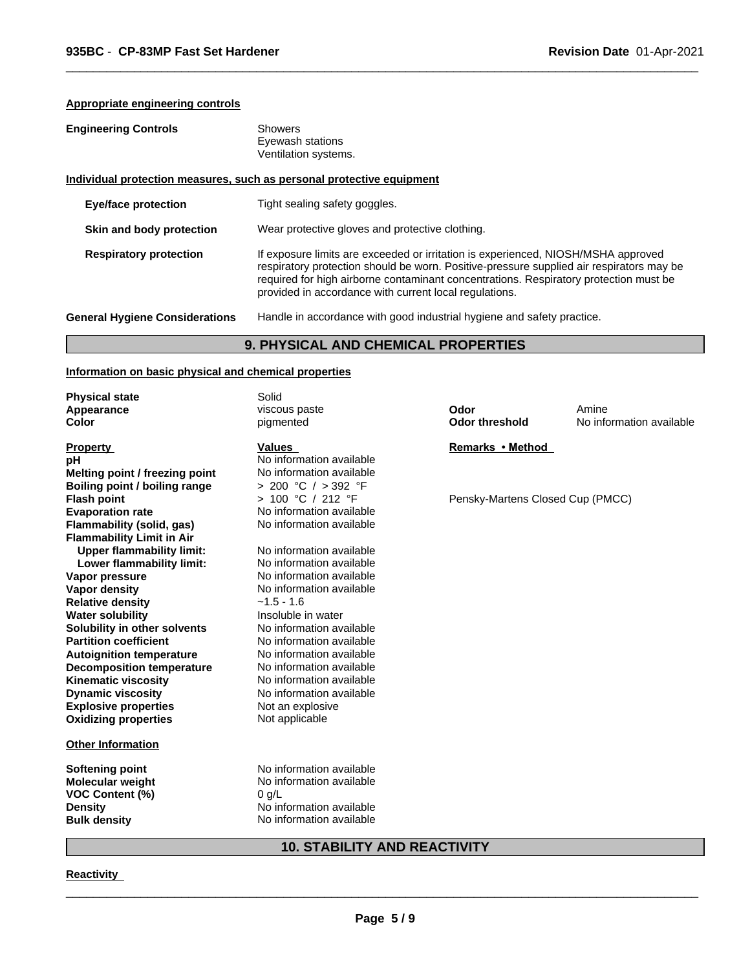# **Appropriate engineering controls**

| <b>Engineering Controls</b> |  |
|-----------------------------|--|
|-----------------------------|--|

| <b>Engineering Controls</b> | Showers              |  |
|-----------------------------|----------------------|--|
|                             | Eyewash stations     |  |
|                             | Ventilation systems. |  |

# **Individual protection measures, such as personal protective equipment**

| <b>Eye/face protection</b>            | Tight sealing safety goggles.                                                                                                                                                                                                                                                                                                    |
|---------------------------------------|----------------------------------------------------------------------------------------------------------------------------------------------------------------------------------------------------------------------------------------------------------------------------------------------------------------------------------|
| Skin and body protection              | Wear protective gloves and protective clothing.                                                                                                                                                                                                                                                                                  |
| <b>Respiratory protection</b>         | If exposure limits are exceeded or irritation is experienced, NIOSH/MSHA approved<br>respiratory protection should be worn. Positive-pressure supplied air respirators may be<br>required for high airborne contaminant concentrations. Respiratory protection must be<br>provided in accordance with current local regulations. |
| <b>General Hygiene Considerations</b> | Handle in accordance with good industrial hygiene and safety practice.                                                                                                                                                                                                                                                           |

 $\overline{\phantom{a}}$  ,  $\overline{\phantom{a}}$  ,  $\overline{\phantom{a}}$  ,  $\overline{\phantom{a}}$  ,  $\overline{\phantom{a}}$  ,  $\overline{\phantom{a}}$  ,  $\overline{\phantom{a}}$  ,  $\overline{\phantom{a}}$  ,  $\overline{\phantom{a}}$  ,  $\overline{\phantom{a}}$  ,  $\overline{\phantom{a}}$  ,  $\overline{\phantom{a}}$  ,  $\overline{\phantom{a}}$  ,  $\overline{\phantom{a}}$  ,  $\overline{\phantom{a}}$  ,  $\overline{\phantom{a}}$ 

# **9. PHYSICAL AND CHEMICAL PROPERTIES**

# **Information on basic physical and chemical properties**

| <b>Values</b><br><b>Property</b><br>No information available<br>рH                  | Remarks • Method                 |
|-------------------------------------------------------------------------------------|----------------------------------|
|                                                                                     |                                  |
|                                                                                     |                                  |
| No information available<br>Melting point / freezing point                          |                                  |
| > 200 °C / > 392 °F<br>Boiling point / boiling range                                |                                  |
| > 100 °C / 212 °F<br><b>Flash point</b>                                             | Pensky-Martens Closed Cup (PMCC) |
| No information available<br><b>Evaporation rate</b>                                 |                                  |
| <b>Flammability (solid, gas)</b><br>No information available                        |                                  |
| <b>Flammability Limit in Air</b>                                                    |                                  |
| <b>Upper flammability limit:</b><br>No information available                        |                                  |
| Lower flammability limit:<br>No information available                               |                                  |
| No information available<br>Vapor pressure                                          |                                  |
| No information available<br><b>Vapor density</b>                                    |                                  |
| <b>Relative density</b><br>$~1.5 - 1.6$<br>Insoluble in water                       |                                  |
| <b>Water solubility</b><br>No information available<br>Solubility in other solvents |                                  |
| <b>Partition coefficient</b><br>No information available                            |                                  |
| No information available<br><b>Autoignition temperature</b>                         |                                  |
| No information available<br><b>Decomposition temperature</b>                        |                                  |
| No information available<br><b>Kinematic viscosity</b>                              |                                  |
| <b>Dynamic viscosity</b><br>No information available                                |                                  |
| <b>Explosive properties</b><br>Not an explosive                                     |                                  |
| Not applicable<br><b>Oxidizing properties</b>                                       |                                  |
| <b>Other Information</b>                                                            |                                  |
| No information available<br>Softening point                                         |                                  |
| <b>Molecular weight</b><br>No information available                                 |                                  |
| <b>VOC Content (%)</b><br>0 g/L                                                     |                                  |
| No information available<br><b>Density</b>                                          |                                  |
| No information available<br><b>Bulk density</b>                                     |                                  |

# **10. STABILITY AND REACTIVITY**

# **Reactivity**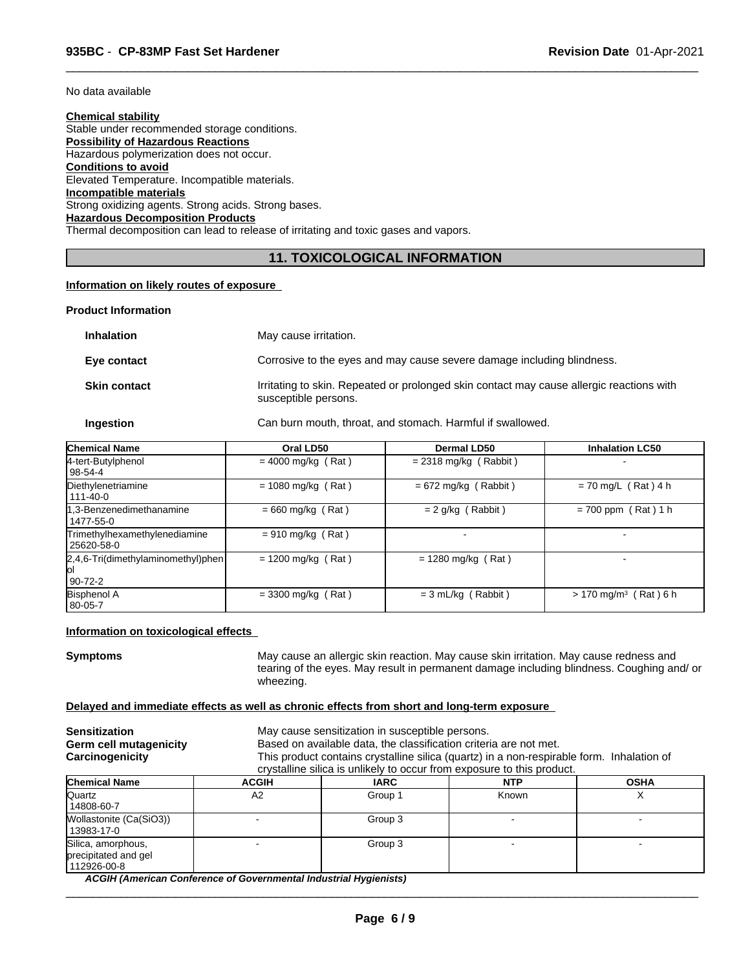No data available

# **Chemical stability**

Stable under recommended storage conditions. **Possibility of Hazardous Reactions** Hazardous polymerization does not occur. **Conditions to avoid** Elevated Temperature. Incompatible materials. **Incompatible materials** Strong oxidizing agents. Strong acids. Strong bases. **Hazardous Decomposition Products** Thermal decomposition can lead to release of irritating and toxic gases and vapors.

# **11. TOXICOLOGICAL INFORMATION**

 $\overline{\phantom{a}}$  ,  $\overline{\phantom{a}}$  ,  $\overline{\phantom{a}}$  ,  $\overline{\phantom{a}}$  ,  $\overline{\phantom{a}}$  ,  $\overline{\phantom{a}}$  ,  $\overline{\phantom{a}}$  ,  $\overline{\phantom{a}}$  ,  $\overline{\phantom{a}}$  ,  $\overline{\phantom{a}}$  ,  $\overline{\phantom{a}}$  ,  $\overline{\phantom{a}}$  ,  $\overline{\phantom{a}}$  ,  $\overline{\phantom{a}}$  ,  $\overline{\phantom{a}}$  ,  $\overline{\phantom{a}}$ 

# **Information on likely routes of exposure**

## **Product Information**

| <b>Inhalation</b>   | May cause irritation.                                                                                            |
|---------------------|------------------------------------------------------------------------------------------------------------------|
| Eye contact         | Corrosive to the eyes and may cause severe damage including blindness.                                           |
| <b>Skin contact</b> | Irritating to skin. Repeated or prolonged skin contact may cause allergic reactions with<br>susceptible persons. |
|                     |                                                                                                                  |

**Ingestion** Can burn mouth, throat, and stomach. Harmful if swallowed.

| <b>Chemical Name</b>                                     | Oral LD50            | Dermal LD50             | <b>Inhalation LC50</b>              |
|----------------------------------------------------------|----------------------|-------------------------|-------------------------------------|
| 4-tert-Butylphenol<br>98-54-4                            | $= 4000$ mg/kg (Rat) | $= 2318$ mg/kg (Rabbit) | $\overline{\phantom{0}}$            |
| Diethylenetriamine<br>111-40-0                           | $= 1080$ mg/kg (Rat) | $= 672$ mg/kg (Rabbit)  | $= 70$ mg/L (Rat) 4 h               |
| 1,3-Benzenedimethanamine<br>1477-55-0                    | $= 660$ mg/kg (Rat)  | $= 2$ g/kg (Rabbit)     | $= 700$ ppm (Rat) 1 h               |
| Trimethylhexamethylenediamine<br>25620-58-0              | $= 910$ mg/kg (Rat)  |                         |                                     |
| $[2,4,6$ -Tri(dimethylaminomethyl)phen<br>lol<br>90-72-2 | $= 1200$ mg/kg (Rat) | $= 1280$ mg/kg (Rat)    |                                     |
| <b>Bisphenol A</b><br>80-05-7                            | $=$ 3300 mg/kg (Rat) | $= 3$ mL/kg (Rabbit)    | $> 170$ mg/m <sup>3</sup> (Rat) 6 h |

#### **Information on toxicological effects**

**Symptoms** May cause an allergic skin reaction. May cause skin irritation. May cause redness and tearing of the eyes. May result in permanent damage including blindness. Coughing and/ or wheezing.

# **Delayed and immediate effects as well as chronic effects from short and long-term exposure**

| <b>Sensitization</b><br>Germ cell mutagenicity<br>Carcinogenicity |              | May cause sensitization in susceptible persons.<br>Based on available data, the classification criteria are not met.<br>This product contains crystalline silica (quartz) in a non-respirable form. Inhalation of<br>crystalline silica is unlikely to occur from exposure to this product. |            |             |  |
|-------------------------------------------------------------------|--------------|---------------------------------------------------------------------------------------------------------------------------------------------------------------------------------------------------------------------------------------------------------------------------------------------|------------|-------------|--|
| <b>Chemical Name</b>                                              | <b>ACGIH</b> | <b>IARC</b>                                                                                                                                                                                                                                                                                 | <b>NTP</b> | <b>OSHA</b> |  |
| Quartz<br>14808-60-7                                              | A2           | Group 1                                                                                                                                                                                                                                                                                     | Known      |             |  |
| Wollastonite (Ca(SiO3))<br>13983-17-0                             |              | Group 3                                                                                                                                                                                                                                                                                     |            |             |  |
| Silica, amorphous,<br>precipitated and gel<br>112926-00-8         |              | Group 3                                                                                                                                                                                                                                                                                     |            |             |  |

*ACGIH (American Conference of Governmental Industrial Hygienists)*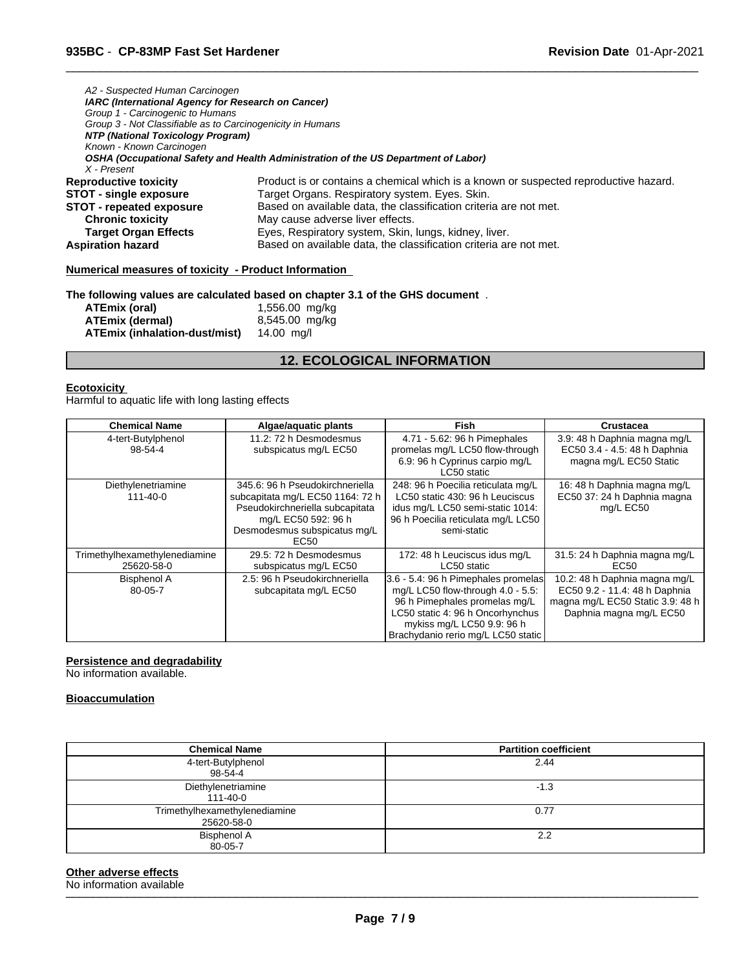| A2 - Suspected Human Carcinogen                            |                                                                                      |
|------------------------------------------------------------|--------------------------------------------------------------------------------------|
| IARC (International Agency for Research on Cancer)         |                                                                                      |
| Group 1 - Carcinogenic to Humans                           |                                                                                      |
| Group 3 - Not Classifiable as to Carcinogenicity in Humans |                                                                                      |
| NTP (National Toxicology Program)                          |                                                                                      |
| Known - Known Carcinogen                                   |                                                                                      |
|                                                            | OSHA (Occupational Safety and Health Administration of the US Department of Labor)   |
| X - Present                                                |                                                                                      |
| <b>Reproductive toxicity</b>                               | Product is or contains a chemical which is a known or suspected reproductive hazard. |
| <b>STOT - single exposure</b>                              | Target Organs. Respiratory system. Eyes. Skin.                                       |
| <b>STOT - repeated exposure</b>                            | Based on available data, the classification criteria are not met.                    |
| <b>Chronic toxicity</b>                                    | May cause adverse liver effects.                                                     |
| <b>Target Organ Effects</b>                                | Eyes, Respiratory system, Skin, lungs, kidney, liver.                                |
| <b>Aspiration hazard</b>                                   | Based on available data, the classification criteria are not met.                    |
| Numerical measures of toxicity - Product Information       |                                                                                      |

 $\overline{\phantom{a}}$  ,  $\overline{\phantom{a}}$  ,  $\overline{\phantom{a}}$  ,  $\overline{\phantom{a}}$  ,  $\overline{\phantom{a}}$  ,  $\overline{\phantom{a}}$  ,  $\overline{\phantom{a}}$  ,  $\overline{\phantom{a}}$  ,  $\overline{\phantom{a}}$  ,  $\overline{\phantom{a}}$  ,  $\overline{\phantom{a}}$  ,  $\overline{\phantom{a}}$  ,  $\overline{\phantom{a}}$  ,  $\overline{\phantom{a}}$  ,  $\overline{\phantom{a}}$  ,  $\overline{\phantom{a}}$ 

# **The following values are calculated based on chapter 3.1 of the GHS document** .

| ATEmix (oral)                 | 1,556.00 mg/kg |
|-------------------------------|----------------|
| ATEmix (dermal)               | 8,545.00 mg/kg |
| ATEmix (inhalation-dust/mist) | 14.00 ma/l     |

# **12. ECOLOGICAL INFORMATION**

### **Ecotoxicity**

Harmful to aquatic life with long lasting effects

| <b>Chemical Name</b>                        | Algae/aquatic plants                                                                                                                                                  | <b>Fish</b>                                                                                                                                                                                                       | Crustacea                                                                                                                     |
|---------------------------------------------|-----------------------------------------------------------------------------------------------------------------------------------------------------------------------|-------------------------------------------------------------------------------------------------------------------------------------------------------------------------------------------------------------------|-------------------------------------------------------------------------------------------------------------------------------|
| 4-tert-Butylphenol<br>98-54-4               | 11.2: 72 h Desmodesmus<br>subspicatus mg/L EC50                                                                                                                       | 4.71 - 5.62: 96 h Pimephales<br>promelas mg/L LC50 flow-through<br>6.9: 96 h Cyprinus carpio mg/L<br>LC50 static                                                                                                  | 3.9: 48 h Daphnia magna mg/L<br>EC50 3.4 - 4.5: 48 h Daphnia<br>magna mg/L EC50 Static                                        |
| Diethylenetriamine<br>$111 - 40 - 0$        | 345.6: 96 h Pseudokirchneriella<br>subcapitata mg/L EC50 1164: 72 h<br>Pseudokirchneriella subcapitata<br>mg/L EC50 592: 96 h<br>Desmodesmus subspicatus mg/L<br>EC50 | 248: 96 h Poecilia reticulata mg/L<br>LC50 static 430: 96 h Leuciscus<br>idus mg/L LC50 semi-static 1014:<br>96 h Poecilia reticulata mg/L LC50<br>semi-static                                                    | 16: 48 h Daphnia magna mg/L<br>EC50 37: 24 h Daphnia magna<br>mg/L EC50                                                       |
| Trimethylhexamethylenediamine<br>25620-58-0 | 29.5: 72 h Desmodesmus<br>subspicatus mg/L EC50                                                                                                                       | 172: 48 h Leuciscus idus mg/L<br>LC50 static                                                                                                                                                                      | 31.5: 24 h Daphnia magna mg/L<br>EC50                                                                                         |
| <b>Bisphenol A</b><br>80-05-7               | 2.5: 96 h Pseudokirchneriella<br>subcapitata mg/L EC50                                                                                                                | 3.6 - 5.4: 96 h Pimephales promelas<br>mg/L LC50 flow-through 4.0 - 5.5:<br>96 h Pimephales promelas mg/L<br>LC50 static 4: 96 h Oncorhynchus<br>mykiss mg/L LC50 9.9: 96 h<br>Brachydanio rerio mg/L LC50 static | 10.2: 48 h Daphnia magna mg/L<br>EC50 9.2 - 11.4: 48 h Daphnia<br>magna mg/L EC50 Static 3.9: 48 h<br>Daphnia magna mg/L EC50 |

# **Persistence and degradability**

No information available.

# **Bioaccumulation**

| <b>Chemical Name</b>                        | <b>Partition coefficient</b> |
|---------------------------------------------|------------------------------|
| 4-tert-Butylphenol                          | 2.44                         |
| 98-54-4                                     |                              |
| Diethylenetriamine<br>111-40-0              | $-1.3$                       |
| Trimethylhexamethylenediamine<br>25620-58-0 | 0.77                         |
| <b>Bisphenol A</b><br>80-05-7               | 2.2                          |

# **Other adverse effects**<br>No information available

No information available \_\_\_\_\_\_\_\_\_\_\_\_\_\_\_\_\_\_\_\_\_\_\_\_\_\_\_\_\_\_\_\_\_\_\_\_\_\_\_\_\_\_\_\_\_\_\_\_\_\_\_\_\_\_\_\_\_\_\_\_\_\_\_\_\_\_\_\_\_\_\_\_\_\_\_\_\_\_\_\_\_\_\_\_\_\_\_\_\_\_\_\_\_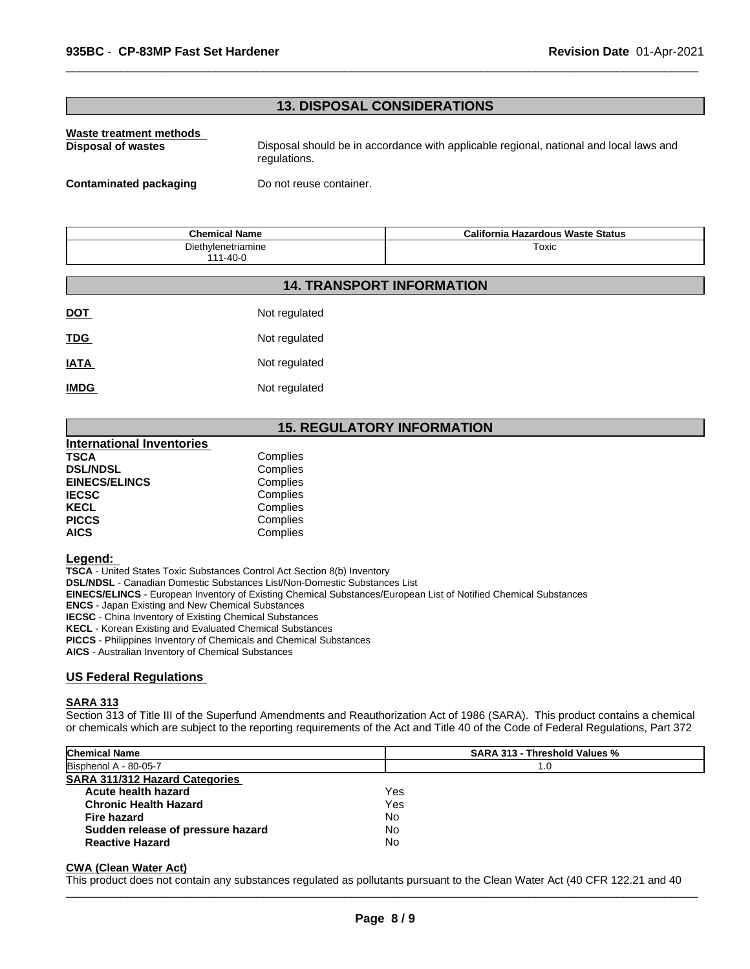# **13. DISPOSAL CONSIDERATIONS**

# **Waste treatment methods**

**Disposal of wastes** Disposal should be in accordance with applicable regional, national and local laws and regulations.

 $\overline{\phantom{a}}$  ,  $\overline{\phantom{a}}$  ,  $\overline{\phantom{a}}$  ,  $\overline{\phantom{a}}$  ,  $\overline{\phantom{a}}$  ,  $\overline{\phantom{a}}$  ,  $\overline{\phantom{a}}$  ,  $\overline{\phantom{a}}$  ,  $\overline{\phantom{a}}$  ,  $\overline{\phantom{a}}$  ,  $\overline{\phantom{a}}$  ,  $\overline{\phantom{a}}$  ,  $\overline{\phantom{a}}$  ,  $\overline{\phantom{a}}$  ,  $\overline{\phantom{a}}$  ,  $\overline{\phantom{a}}$ 

**Contaminated packaging Do not reuse container.** 

| <b>Chemical Name</b>                 | California Hazardous Waste Status |
|--------------------------------------|-----------------------------------|
| Diethylenetriamine<br>$111 - 40 - 0$ | Toxic                             |

**14. TRANSPORT INFORMATION**

| <b>DOT</b>  | Not regulated |
|-------------|---------------|
| <b>TDG</b>  | Not regulated |
| <b>IATA</b> | Not regulated |
| <b>IMDG</b> | Not regulated |

# **15. REGULATORY INFORMATION**

| <b>International Inventories</b> |          |
|----------------------------------|----------|
| <b>TSCA</b>                      | Complies |
| <b>DSL/NDSL</b>                  | Complies |
| <b>EINECS/ELINCS</b>             | Complies |
| <b>IECSC</b>                     | Complies |
| <b>KECL</b>                      | Complies |
| <b>PICCS</b>                     | Complies |
| <b>AICS</b>                      | Complies |

#### **Legend:**

**TSCA** - United States Toxic Substances Control Act Section 8(b) Inventory **DSL/NDSL** - Canadian Domestic Substances List/Non-Domestic Substances List **EINECS/ELINCS** - European Inventory of Existing Chemical Substances/European List of Notified Chemical Substances **ENCS** - Japan Existing and New Chemical Substances **IECSC** - China Inventory of Existing Chemical Substances **KECL** - Korean Existing and Evaluated Chemical Substances **PICCS** - Philippines Inventory of Chemicals and Chemical Substances **AICS** - Australian Inventory of Chemical Substances

#### **US Federal Regulations**

#### **SARA 313**

Section 313 of Title III of the Superfund Amendments and Reauthorization Act of 1986 (SARA). This product contains a chemical or chemicals which are subject to the reporting requirements of the Act and Title 40 of the Code of Federal Regulations, Part 372

| <b>Chemical Name</b>                  | <b>SARA 313 - Threshold Values %</b> |
|---------------------------------------|--------------------------------------|
| Bisphenol A - 80-05-7                 | 1.0                                  |
| <b>SARA 311/312 Hazard Categories</b> |                                      |
| Acute health hazard                   | Yes                                  |
| <b>Chronic Health Hazard</b>          | Yes                                  |
| Fire hazard                           | No                                   |
| Sudden release of pressure hazard     | No                                   |
| <b>Reactive Hazard</b>                | No                                   |

#### **CWA (Clean Water Act)**

This product does not contain any substances regulated as pollutants pursuant to the Clean Water Act (40 CFR 122.21 and 40